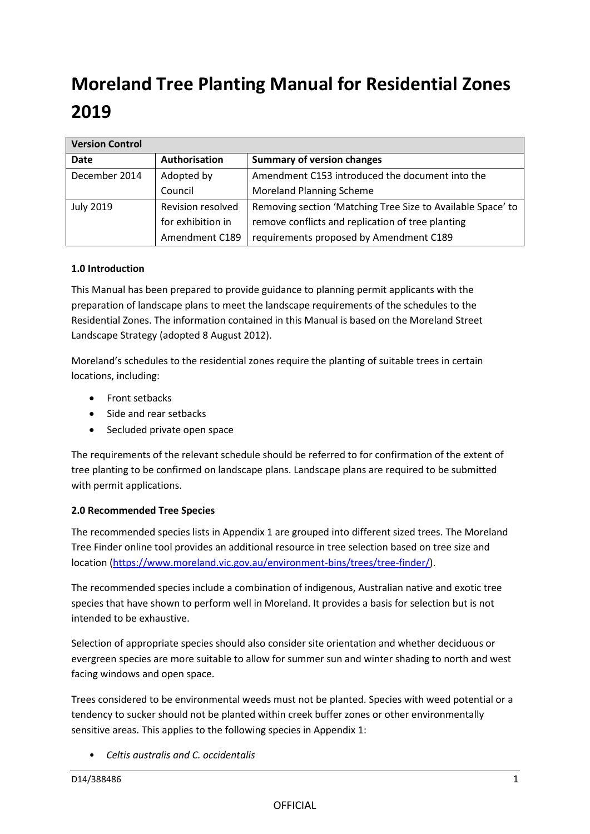# **Moreland Tree Planting Manual for Residential Zones 2019**

| <b>Version Control</b> |                   |                                                             |
|------------------------|-------------------|-------------------------------------------------------------|
| <b>Date</b>            | Authorisation     | <b>Summary of version changes</b>                           |
| December 2014          | Adopted by        | Amendment C153 introduced the document into the             |
|                        | Council           | <b>Moreland Planning Scheme</b>                             |
| <b>July 2019</b>       | Revision resolved | Removing section 'Matching Tree Size to Available Space' to |
|                        | for exhibition in | remove conflicts and replication of tree planting           |
|                        | Amendment C189    | requirements proposed by Amendment C189                     |

### **1.0 Introduction**

This Manual has been prepared to provide guidance to planning permit applicants with the preparation of landscape plans to meet the landscape requirements of the schedules to the Residential Zones. The information contained in this Manual is based on the Moreland Street Landscape Strategy (adopted 8 August 2012).

Moreland's schedules to the residential zones require the planting of suitable trees in certain locations, including:

- Front setbacks
- Side and rear setbacks
- Secluded private open space

The requirements of the relevant schedule should be referred to for confirmation of the extent of tree planting to be confirmed on landscape plans. Landscape plans are required to be submitted with permit applications.

### **2.0 Recommended Tree Species**

The recommended species lists in Appendix 1 are grouped into different sized trees. The Moreland Tree Finder online tool provides an additional resource in tree selection based on tree size and location [\(https://www.moreland.vic.gov.au/environment-bins/trees/tree-finder/\)](https://www.moreland.vic.gov.au/environment-bins/trees/tree-finder/).

The recommended species include a combination of indigenous, Australian native and exotic tree species that have shown to perform well in Moreland. It provides a basis for selection but is not intended to be exhaustive.

Selection of appropriate species should also consider site orientation and whether deciduous or evergreen species are more suitable to allow for summer sun and winter shading to north and west facing windows and open space.

Trees considered to be environmental weeds must not be planted. Species with weed potential or a tendency to sucker should not be planted within creek buffer zones or other environmentally sensitive areas. This applies to the following species in Appendix 1:

• *Celtis australis and C. occidentalis*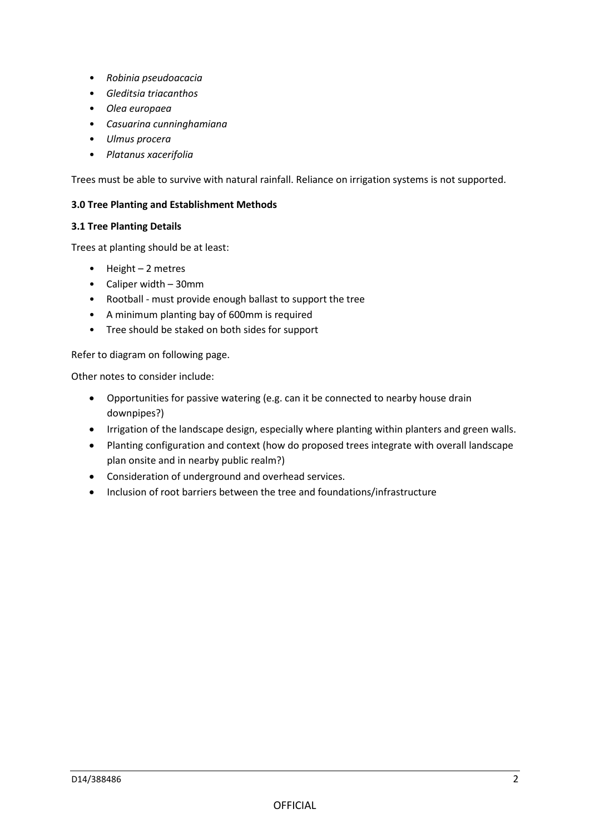- *Robinia pseudoacacia*
- *Gleditsia triacanthos*
- *Olea europaea*
- *Casuarina cunninghamiana*
- *Ulmus procera*
- *Platanus xacerifolia*

Trees must be able to survive with natural rainfall. Reliance on irrigation systems is not supported.

### **3.0 Tree Planting and Establishment Methods**

### **3.1 Tree Planting Details**

Trees at planting should be at least:

- Height 2 metres
- Caliper width 30mm
- Rootball must provide enough ballast to support the tree
- A minimum planting bay of 600mm is required
- Tree should be staked on both sides for support

Refer to diagram on following page.

Other notes to consider include:

- Opportunities for passive watering (e.g. can it be connected to nearby house drain downpipes?)
- Irrigation of the landscape design, especially where planting within planters and green walls.
- Planting configuration and context (how do proposed trees integrate with overall landscape plan onsite and in nearby public realm?)
- Consideration of underground and overhead services.
- Inclusion of root barriers between the tree and foundations/infrastructure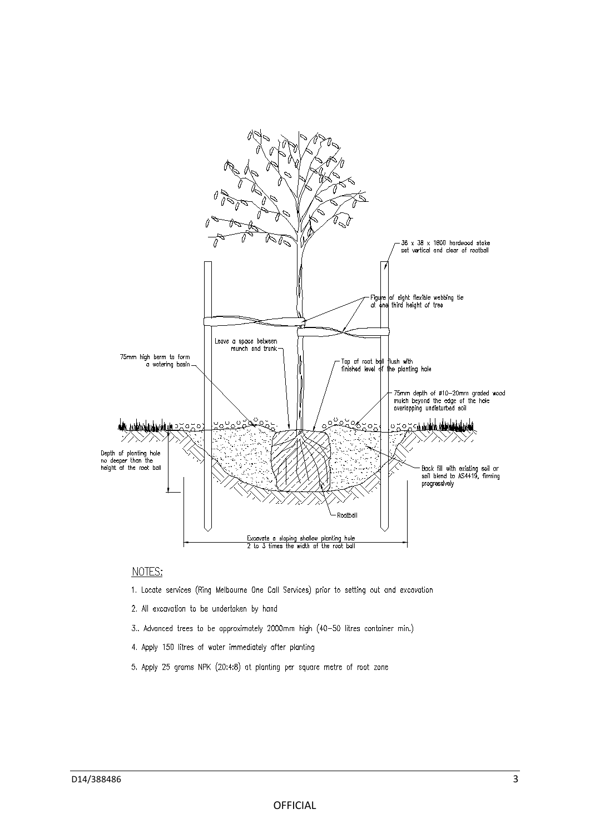

### NOTES:

- 1. Locate services (Ring Melbourne One Call Services) prior to setting out and excavation
- 2. All excavation to be undertaken by hand
- 3.. Advanced trees to be approximately 2000mm high (40-50 litres container min.)
- 4. Apply 150 litres of water immediately after planting
- 5. Apply 25 grams NPK (20:4:8) at planting per square metre of root zone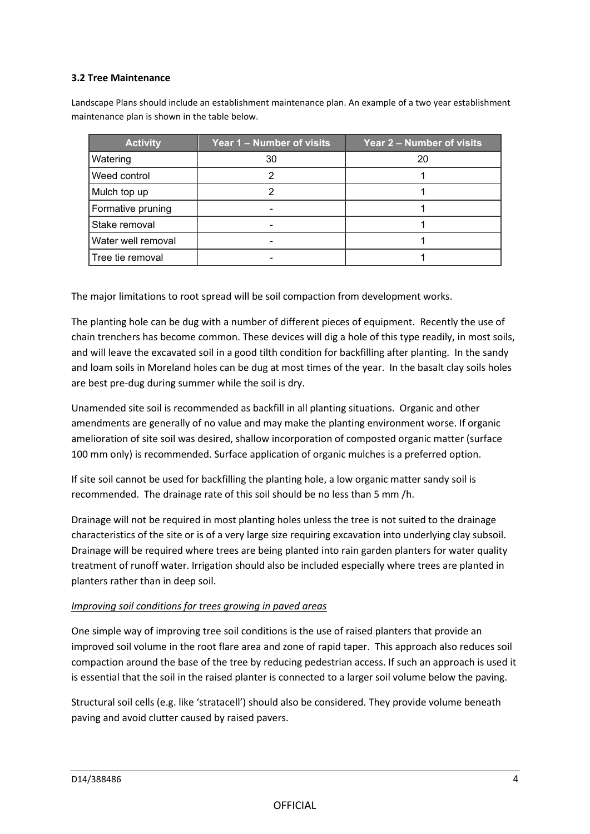### **3.2 Tree Maintenance**

Landscape Plans should include an establishment maintenance plan. An example of a two year establishment maintenance plan is shown in the table below.

| <b>Activity</b>    | Year 1 – Number of visits | Year 2 - Number of visits |
|--------------------|---------------------------|---------------------------|
| Watering           | 30                        | 20                        |
| Weed control       |                           |                           |
| Mulch top up       |                           |                           |
| Formative pruning  |                           |                           |
| Stake removal      |                           |                           |
| Water well removal |                           |                           |
| l Tree tie removal |                           |                           |

The major limitations to root spread will be soil compaction from development works.

The planting hole can be dug with a number of different pieces of equipment. Recently the use of chain trenchers has become common. These devices will dig a hole of this type readily, in most soils, and will leave the excavated soil in a good tilth condition for backfilling after planting. In the sandy and loam soils in Moreland holes can be dug at most times of the year. In the basalt clay soils holes are best pre-dug during summer while the soil is dry.

Unamended site soil is recommended as backfill in all planting situations. Organic and other amendments are generally of no value and may make the planting environment worse. If organic amelioration of site soil was desired, shallow incorporation of composted organic matter (surface 100 mm only) is recommended. Surface application of organic mulches is a preferred option.

If site soil cannot be used for backfilling the planting hole, a low organic matter sandy soil is recommended. The drainage rate of this soil should be no less than 5 mm /h.

Drainage will not be required in most planting holes unless the tree is not suited to the drainage characteristics of the site or is of a very large size requiring excavation into underlying clay subsoil. Drainage will be required where trees are being planted into rain garden planters for water quality treatment of runoff water. Irrigation should also be included especially where trees are planted in planters rather than in deep soil.

### *Improving soil conditions for trees growing in paved areas*

One simple way of improving tree soil conditions is the use of raised planters that provide an improved soil volume in the root flare area and zone of rapid taper. This approach also reduces soil compaction around the base of the tree by reducing pedestrian access. If such an approach is used it is essential that the soil in the raised planter is connected to a larger soil volume below the paving.

Structural soil cells (e.g. like 'stratacell') should also be considered. They provide volume beneath paving and avoid clutter caused by raised pavers.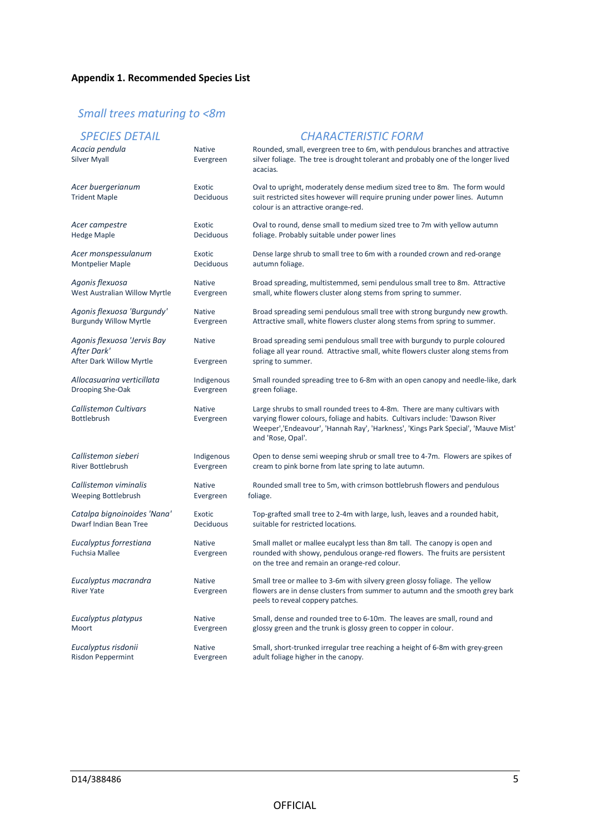# *Small trees maturing to <8m*

| Acacia pendula<br><b>Silver Myall</b>                                  | <b>Native</b><br>Evergreen | Rounded, small, evergreen tree to 6m, with pendulous branches and attractive<br>silver foliage. The tree is drought tolerant and probably one of the longer lived<br>acacias.                                                                                        |
|------------------------------------------------------------------------|----------------------------|----------------------------------------------------------------------------------------------------------------------------------------------------------------------------------------------------------------------------------------------------------------------|
| Acer buergerianum<br><b>Trident Maple</b>                              | Exotic<br>Deciduous        | Oval to upright, moderately dense medium sized tree to 8m. The form would<br>suit restricted sites however will require pruning under power lines. Autumn<br>colour is an attractive orange-red.                                                                     |
| Acer campestre                                                         | Exotic                     | Oval to round, dense small to medium sized tree to 7m with yellow autumn                                                                                                                                                                                             |
| <b>Hedge Maple</b>                                                     | Deciduous                  | foliage. Probably suitable under power lines                                                                                                                                                                                                                         |
| Acer monspessulanum                                                    | Exotic                     | Dense large shrub to small tree to 6m with a rounded crown and red-orange                                                                                                                                                                                            |
| <b>Montpelier Maple</b>                                                | Deciduous                  | autumn foliage.                                                                                                                                                                                                                                                      |
| Agonis flexuosa                                                        | <b>Native</b>              | Broad spreading, multistemmed, semi pendulous small tree to 8m. Attractive                                                                                                                                                                                           |
| West Australian Willow Myrtle                                          | Evergreen                  | small, white flowers cluster along stems from spring to summer.                                                                                                                                                                                                      |
| Agonis flexuosa 'Burgundy'                                             | <b>Native</b>              | Broad spreading semi pendulous small tree with strong burgundy new growth.                                                                                                                                                                                           |
| <b>Burgundy Willow Myrtle</b>                                          | Evergreen                  | Attractive small, white flowers cluster along stems from spring to summer.                                                                                                                                                                                           |
| Agonis flexuosa 'Jervis Bay<br>After Dark'<br>After Dark Willow Myrtle | <b>Native</b><br>Evergreen | Broad spreading semi pendulous small tree with burgundy to purple coloured<br>foliage all year round. Attractive small, white flowers cluster along stems from<br>spring to summer.                                                                                  |
| Allocasuarina verticillata                                             | Indigenous                 | Small rounded spreading tree to 6-8m with an open canopy and needle-like, dark                                                                                                                                                                                       |
| Drooping She-Oak                                                       | Evergreen                  | green foliage.                                                                                                                                                                                                                                                       |
| Callistemon Cultivars<br><b>Bottlebrush</b>                            | <b>Native</b><br>Evergreen | Large shrubs to small rounded trees to 4-8m. There are many cultivars with<br>varying flower colours, foliage and habits. Cultivars include: 'Dawson River<br>Weeper','Endeavour', 'Hannah Ray', 'Harkness', 'Kings Park Special', 'Mauve Mist'<br>and 'Rose, Opal'. |
| Callistemon sieberi                                                    | Indigenous                 | Open to dense semi weeping shrub or small tree to 4-7m. Flowers are spikes of                                                                                                                                                                                        |
| <b>River Bottlebrush</b>                                               | Evergreen                  | cream to pink borne from late spring to late autumn.                                                                                                                                                                                                                 |
| Callistemon viminalis                                                  | <b>Native</b>              | Rounded small tree to 5m, with crimson bottlebrush flowers and pendulous                                                                                                                                                                                             |
| Weeping Bottlebrush                                                    | Evergreen                  | foliage.                                                                                                                                                                                                                                                             |
| Catalpa bignoinoides 'Nana'                                            | Exotic                     | Top-grafted small tree to 2-4m with large, lush, leaves and a rounded habit,                                                                                                                                                                                         |
| Dwarf Indian Bean Tree                                                 | Deciduous                  | suitable for restricted locations.                                                                                                                                                                                                                                   |
| Eucalyptus forrestiana<br><b>Fuchsia Mallee</b>                        | <b>Native</b><br>Evergreen | Small mallet or mallee eucalypt less than 8m tall. The canopy is open and<br>rounded with showy, pendulous orange-red flowers. The fruits are persistent<br>on the tree and remain an orange-red colour.                                                             |
| Eucalyptus macrandra<br><b>River Yate</b>                              | <b>Native</b><br>Evergreen | Small tree or mallee to 3-6m with silvery green glossy foliage. The yellow<br>flowers are in dense clusters from summer to autumn and the smooth grey bark<br>peels to reveal coppery patches.                                                                       |
| Eucalyptus platypus                                                    | <b>Native</b>              | Small, dense and rounded tree to 6-10m. The leaves are small, round and                                                                                                                                                                                              |
| Moort                                                                  | Evergreen                  | glossy green and the trunk is glossy green to copper in colour.                                                                                                                                                                                                      |
| Eucalyptus risdonii                                                    | <b>Native</b>              | Small, short-trunked irregular tree reaching a height of 6-8m with grey-green                                                                                                                                                                                        |
| Risdon Peppermint                                                      | Evergreen                  | adult foliage higher in the canopy.                                                                                                                                                                                                                                  |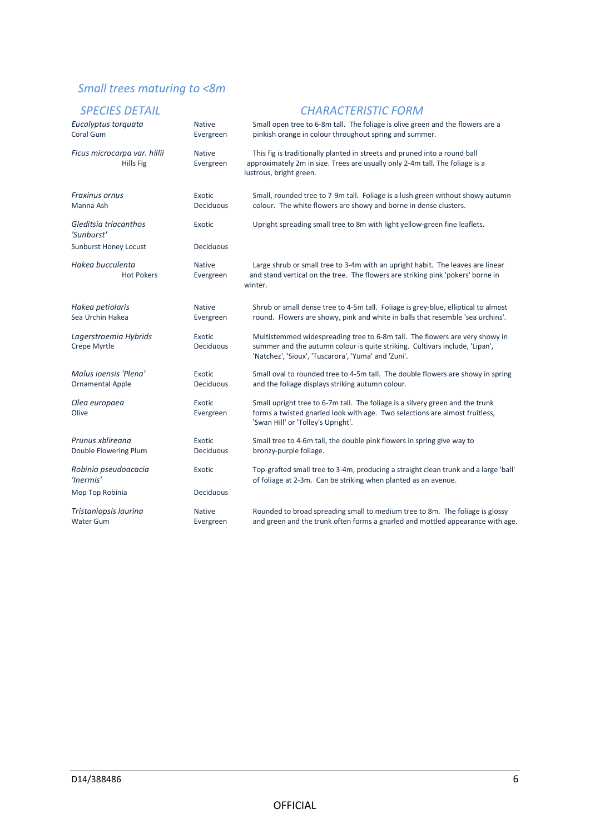# *Small trees maturing to <8m*

| Eucalyptus torquata<br>Coral Gum                 | <b>Native</b><br>Evergreen | Small open tree to 6-8m tall. The foliage is olive green and the flowers are a<br>pinkish orange in colour throughout spring and summer.                                                                          |
|--------------------------------------------------|----------------------------|-------------------------------------------------------------------------------------------------------------------------------------------------------------------------------------------------------------------|
| Ficus microcarpa var. hillii<br>Hills Fig.       | <b>Native</b><br>Evergreen | This fig is traditionally planted in streets and pruned into a round ball<br>approximately 2m in size. Trees are usually only 2-4m tall. The foliage is a<br>lustrous, bright green.                              |
| Fraxinus ornus<br>Manna Ash                      | Exotic<br>Deciduous        | Small, rounded tree to 7-9m tall. Foliage is a lush green without showy autumn<br>colour. The white flowers are showy and borne in dense clusters.                                                                |
| Gleditsia triacanthos<br>'Sunburst'              | Exotic                     | Upright spreading small tree to 8m with light yellow-green fine leaflets.                                                                                                                                         |
| <b>Sunburst Honey Locust</b>                     | Deciduous                  |                                                                                                                                                                                                                   |
| Hakea bucculenta<br><b>Hot Pokers</b>            | <b>Native</b><br>Evergreen | Large shrub or small tree to 3-4m with an upright habit. The leaves are linear<br>and stand vertical on the tree. The flowers are striking pink 'pokers' borne in<br>winter.                                      |
| Hakea petiolaris<br>Sea Urchin Hakea             | <b>Native</b><br>Evergreen | Shrub or small dense tree to 4-5m tall. Foliage is grey-blue, elliptical to almost<br>round. Flowers are showy, pink and white in balls that resemble 'sea urchins'.                                              |
| Lagerstroemia Hybrids<br>Crepe Myrtle            | <b>Exotic</b><br>Deciduous | Multistemmed widespreading tree to 6-8m tall. The flowers are very showy in<br>summer and the autumn colour is quite striking. Cultivars include, 'Lipan',<br>'Natchez', 'Sioux', 'Tuscarora', 'Yuma' and 'Zuni'. |
| Malus ioensis 'Plena'<br><b>Ornamental Apple</b> | <b>Exotic</b><br>Deciduous | Small oval to rounded tree to 4-5m tall. The double flowers are showy in spring<br>and the foliage displays striking autumn colour.                                                                               |
| Olea europaea<br>Olive                           | Exotic<br>Evergreen        | Small upright tree to 6-7m tall. The foliage is a silvery green and the trunk<br>forms a twisted gnarled look with age. Two selections are almost fruitless,<br>'Swan Hill' or 'Tolley's Upright'.                |
| Prunus xblireana<br>Double Flowering Plum        | Exotic<br>Deciduous        | Small tree to 4-6m tall, the double pink flowers in spring give way to<br>bronzy-purple foliage.                                                                                                                  |
| Robinia pseudoacacia<br>'Inermis'                | Exotic                     | Top-grafted small tree to 3-4m, producing a straight clean trunk and a large 'ball'<br>of foliage at 2-3m. Can be striking when planted as an avenue.                                                             |
| Mop Top Robinia                                  | <b>Deciduous</b>           |                                                                                                                                                                                                                   |
| Tristaniopsis laurina<br><b>Water Gum</b>        | <b>Native</b><br>Evergreen | Rounded to broad spreading small to medium tree to 8m. The foliage is glossy<br>and green and the trunk often forms a gnarled and mottled appearance with age.                                                    |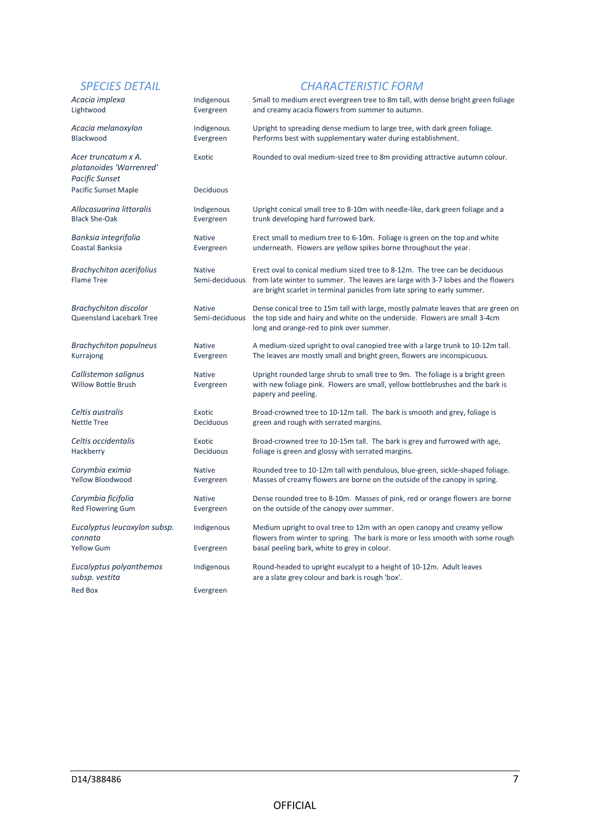| Acacia implexa                                                          | Indigenous                      | Small to medium erect evergreen tree to 8m tall, with dense bright green foliage                                                                                                                                                                           |
|-------------------------------------------------------------------------|---------------------------------|------------------------------------------------------------------------------------------------------------------------------------------------------------------------------------------------------------------------------------------------------------|
| Lightwood                                                               | Evergreen                       | and creamy acacia flowers from summer to autumn.                                                                                                                                                                                                           |
| Acacia melanoxylon                                                      | Indigenous                      | Upright to spreading dense medium to large tree, with dark green foliage.                                                                                                                                                                                  |
| Blackwood                                                               | Evergreen                       | Performs best with supplementary water during establishment.                                                                                                                                                                                               |
| Acer truncatum x A.<br>platanoides 'Warrenred'<br><b>Pacific Sunset</b> | Exotic                          | Rounded to oval medium-sized tree to 8m providing attractive autumn colour.                                                                                                                                                                                |
| <b>Pacific Sunset Maple</b>                                             | <b>Deciduous</b>                |                                                                                                                                                                                                                                                            |
| Allocasuarina littoralis                                                | Indigenous                      | Upright conical small tree to 8-10m with needle-like, dark green foliage and a                                                                                                                                                                             |
| <b>Black She-Oak</b>                                                    | Evergreen                       | trunk developing hard furrowed bark.                                                                                                                                                                                                                       |
| Banksia integrifolia                                                    | <b>Native</b>                   | Erect small to medium tree to 6-10m. Foliage is green on the top and white                                                                                                                                                                                 |
| Coastal Banksia                                                         | Evergreen                       | underneath. Flowers are yellow spikes borne throughout the year.                                                                                                                                                                                           |
| <b>Brachychiton acerifolius</b><br><b>Flame Tree</b>                    | <b>Native</b>                   | Erect oval to conical medium sized tree to 8-12m. The tree can be deciduous<br>Semi-deciduous from late winter to summer. The leaves are large with 3-7 lobes and the flowers<br>are bright scarlet in terminal panicles from late spring to early summer. |
| <b>Brachychiton discolor</b><br><b>Queensland Lacebark Tree</b>         | <b>Native</b><br>Semi-deciduous | Dense conical tree to 15m tall with large, mostly palmate leaves that are green on<br>the top side and hairy and white on the underside. Flowers are small 3-4cm<br>long and orange-red to pink over summer.                                               |
| <b>Brachychiton populneus</b>                                           | <b>Native</b>                   | A medium-sized upright to oval canopied tree with a large trunk to 10-12m tall.                                                                                                                                                                            |
| Kurrajong                                                               | Evergreen                       | The leaves are mostly small and bright green, flowers are inconspicuous.                                                                                                                                                                                   |
| Callistemon salignus<br><b>Willow Bottle Brush</b>                      | <b>Native</b><br>Evergreen      | Upright rounded large shrub to small tree to 9m. The foliage is a bright green<br>with new foliage pink. Flowers are small, yellow bottlebrushes and the bark is<br>papery and peeling.                                                                    |
| Celtis australis                                                        | Exotic                          | Broad-crowned tree to 10-12m tall. The bark is smooth and grey, foliage is                                                                                                                                                                                 |
| <b>Nettle Tree</b>                                                      | <b>Deciduous</b>                | green and rough with serrated margins.                                                                                                                                                                                                                     |
| Celtis occidentalis                                                     | Exotic                          | Broad-crowned tree to 10-15m tall. The bark is grey and furrowed with age,                                                                                                                                                                                 |
| Hackberry                                                               | Deciduous                       | foliage is green and glossy with serrated margins.                                                                                                                                                                                                         |
| Corymbia eximia                                                         | <b>Native</b>                   | Rounded tree to 10-12m tall with pendulous, blue-green, sickle-shaped foliage.                                                                                                                                                                             |
| Yellow Bloodwood                                                        | Evergreen                       | Masses of creamy flowers are borne on the outside of the canopy in spring.                                                                                                                                                                                 |
| Corymbia ficifolia                                                      | <b>Native</b>                   | Dense rounded tree to 8-10m. Masses of pink, red or orange flowers are borne                                                                                                                                                                               |
| Red Flowering Gum                                                       | Evergreen                       | on the outside of the canopy over summer.                                                                                                                                                                                                                  |
| Eucalyptus leucoxylon subsp.<br>connata<br>Yellow Gum                   | Indigenous<br>Evergreen         | Medium upright to oval tree to 12m with an open canopy and creamy yellow<br>flowers from winter to spring. The bark is more or less smooth with some rough<br>basal peeling bark, white to grey in colour.                                                 |
| Eucalyptus polyanthemos<br>subsp. vestita                               | Indigenous                      | Round-headed to upright eucalypt to a height of 10-12m. Adult leaves<br>are a slate grey colour and bark is rough 'box'.                                                                                                                                   |
| Red Box                                                                 | Evergreen                       |                                                                                                                                                                                                                                                            |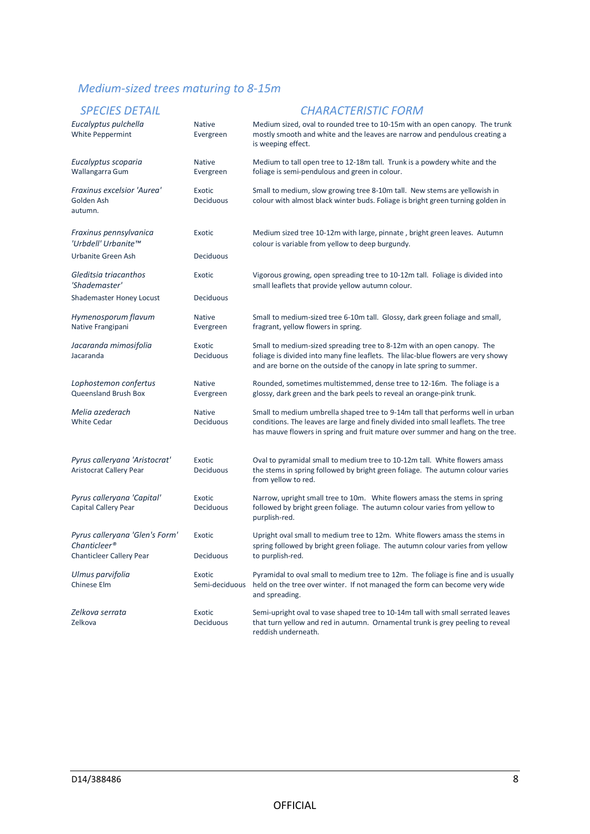# *Medium-sized trees maturing to 8-15m*

| JI LUILJ DLIINL                                          |                            | 0777 - 1787 - 1797 - 1797 - 1797 - 1797 - 1797 - 1797 - 1797 - 1797 - 1797 - 1797 - 1797 - 1797 - 1                                                                                                                                                   |
|----------------------------------------------------------|----------------------------|-------------------------------------------------------------------------------------------------------------------------------------------------------------------------------------------------------------------------------------------------------|
| Eucalyptus pulchella<br>White Peppermint                 | <b>Native</b><br>Evergreen | Medium sized, oval to rounded tree to 10-15m with an open canopy. The trunk<br>mostly smooth and white and the leaves are narrow and pendulous creating a<br>is weeping effect.                                                                       |
| Eucalyptus scoparia<br>Wallangarra Gum                   | <b>Native</b><br>Evergreen | Medium to tall open tree to 12-18m tall. Trunk is a powdery white and the<br>foliage is semi-pendulous and green in colour.                                                                                                                           |
| Fraxinus excelsior 'Aurea'<br>Golden Ash<br>autumn.      | Exotic<br>Deciduous        | Small to medium, slow growing tree 8-10m tall. New stems are yellowish in<br>colour with almost black winter buds. Foliage is bright green turning golden in                                                                                          |
| Fraxinus pennsylvanica<br>'Urbdell' Urbanite™            | Exotic                     | Medium sized tree 10-12m with large, pinnate, bright green leaves. Autumn<br>colour is variable from yellow to deep burgundy.                                                                                                                         |
| Urbanite Green Ash                                       | Deciduous                  |                                                                                                                                                                                                                                                       |
| Gleditsia triacanthos<br>'Shademaster'                   | Exotic                     | Vigorous growing, open spreading tree to 10-12m tall. Foliage is divided into<br>small leaflets that provide yellow autumn colour.                                                                                                                    |
| Shademaster Honey Locust                                 | Deciduous                  |                                                                                                                                                                                                                                                       |
| Hymenosporum flavum<br>Native Frangipani                 | <b>Native</b><br>Evergreen | Small to medium-sized tree 6-10m tall. Glossy, dark green foliage and small,<br>fragrant, yellow flowers in spring.                                                                                                                                   |
| Jacaranda mimosifolia<br>Jacaranda                       | Exotic<br>Deciduous        | Small to medium-sized spreading tree to 8-12m with an open canopy. The<br>foliage is divided into many fine leaflets. The lilac-blue flowers are very showy<br>and are borne on the outside of the canopy in late spring to summer.                   |
| Lophostemon confertus<br>Queensland Brush Box            | <b>Native</b><br>Evergreen | Rounded, sometimes multistemmed, dense tree to 12-16m. The foliage is a<br>glossy, dark green and the bark peels to reveal an orange-pink trunk.                                                                                                      |
| Melia azederach<br><b>White Cedar</b>                    | <b>Native</b><br>Deciduous | Small to medium umbrella shaped tree to 9-14m tall that performs well in urban<br>conditions. The leaves are large and finely divided into small leaflets. The tree<br>has mauve flowers in spring and fruit mature over summer and hang on the tree. |
| Pyrus calleryana 'Aristocrat'<br>Aristocrat Callery Pear | Exotic<br>Deciduous        | Oval to pyramidal small to medium tree to 10-12m tall. White flowers amass<br>the stems in spring followed by bright green foliage. The autumn colour varies<br>from yellow to red.                                                                   |
| Pyrus calleryana 'Capital'<br>Capital Callery Pear       | Exotic<br>Deciduous        | Narrow, upright small tree to 10m. White flowers amass the stems in spring<br>followed by bright green foliage. The autumn colour varies from yellow to<br>purplish-red.                                                                              |
| Pyrus calleryana 'Glen's Form'<br>Chanticleer®           | Exotic                     | Upright oval small to medium tree to 12m. White flowers amass the stems in<br>spring followed by bright green foliage. The autumn colour varies from yellow                                                                                           |
| Chanticleer Callery Pear                                 | Deciduous                  | to purplish-red.                                                                                                                                                                                                                                      |
| Ulmus parvifolia<br>Chinese Elm                          | Exotic<br>Semi-deciduous   | Pyramidal to oval small to medium tree to 12m. The foliage is fine and is usually<br>held on the tree over winter. If not managed the form can become very wide<br>and spreading.                                                                     |
| Zelkova serrata<br>Zelkova                               | Exotic<br>Deciduous        | Semi-upright oval to vase shaped tree to 10-14m tall with small serrated leaves<br>that turn yellow and red in autumn. Ornamental trunk is grey peeling to reveal<br>reddish underneath.                                                              |